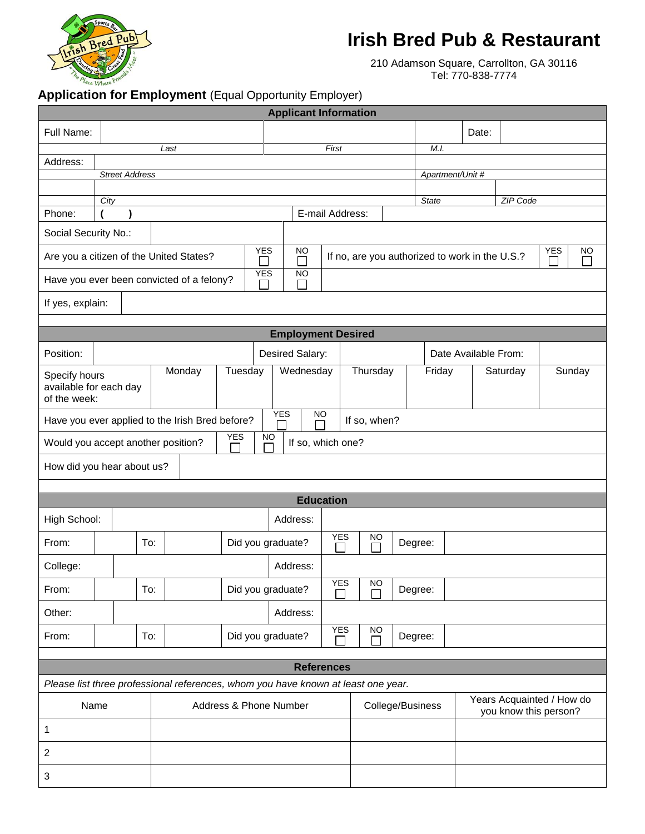

## **Irish Bred Pub & Restaurant**

210 Adamson Square, Carrollton, GA 30116 Tel: 770-838-7774

## **Application for Employment** (Equal Opportunity Employer)

|                                                                                                        |                       |     |                         |                                                                    | <b>Applicant Information</b> |                      |           |  |                          |                                                    |          |        |  |  |
|--------------------------------------------------------------------------------------------------------|-----------------------|-----|-------------------------|--------------------------------------------------------------------|------------------------------|----------------------|-----------|--|--------------------------|----------------------------------------------------|----------|--------|--|--|
| Full Name:                                                                                             |                       |     |                         |                                                                    |                              |                      |           |  |                          | Date:                                              |          |        |  |  |
|                                                                                                        |                       |     | Last                    |                                                                    |                              | First                |           |  | M.I.                     |                                                    |          |        |  |  |
| Address:                                                                                               |                       |     |                         |                                                                    |                              |                      |           |  |                          |                                                    |          |        |  |  |
|                                                                                                        | <b>Street Address</b> |     |                         |                                                                    |                              |                      |           |  | Apartment/Unit #         |                                                    |          |        |  |  |
|                                                                                                        |                       |     |                         |                                                                    |                              |                      |           |  |                          |                                                    |          |        |  |  |
| Phone:                                                                                                 | City<br>)             |     |                         |                                                                    | E-mail Address:              |                      |           |  | ZIP Code<br><b>State</b> |                                                    |          |        |  |  |
| Social Security No.:                                                                                   |                       |     |                         |                                                                    |                              |                      |           |  |                          |                                                    |          |        |  |  |
| Are you a citizen of the United States?                                                                |                       |     | <b>YES</b><br><b>NO</b> | <b>YES</b><br>NO<br>If no, are you authorized to work in the U.S.? |                              |                      |           |  |                          |                                                    |          |        |  |  |
| <b>YES</b><br><b>NO</b><br>Have you ever been convicted of a felony?                                   |                       |     |                         |                                                                    |                              |                      |           |  |                          |                                                    |          |        |  |  |
| If yes, explain:                                                                                       |                       |     |                         |                                                                    |                              |                      |           |  |                          |                                                    |          |        |  |  |
|                                                                                                        |                       |     |                         |                                                                    |                              |                      |           |  |                          |                                                    |          |        |  |  |
|                                                                                                        |                       |     |                         |                                                                    | <b>Employment Desired</b>    |                      |           |  |                          |                                                    |          |        |  |  |
| Position:                                                                                              |                       |     |                         |                                                                    |                              | Desired Salary:      |           |  |                          | Date Available From:                               |          |        |  |  |
| Specify hours<br>available for each day<br>of the week:                                                |                       |     | Monday                  | Tuesday                                                            | Wednesday                    |                      | Thursday  |  | Friday                   |                                                    | Saturday | Sunday |  |  |
| <b>YES</b><br><b>NO</b><br>Have you ever applied to the Irish Bred before?<br>If so, when?             |                       |     |                         |                                                                    |                              |                      |           |  |                          |                                                    |          |        |  |  |
| <b>YES</b><br><b>NO</b><br>Would you accept another position?<br>If so, which one?                     |                       |     |                         |                                                                    |                              |                      |           |  |                          |                                                    |          |        |  |  |
| How did you hear about us?                                                                             |                       |     |                         |                                                                    |                              |                      |           |  |                          |                                                    |          |        |  |  |
| <b>Education</b>                                                                                       |                       |     |                         |                                                                    |                              |                      |           |  |                          |                                                    |          |        |  |  |
|                                                                                                        |                       |     |                         |                                                                    |                              |                      |           |  |                          |                                                    |          |        |  |  |
| High School:                                                                                           |                       |     |                         |                                                                    | Address:                     |                      |           |  |                          |                                                    |          |        |  |  |
| From:                                                                                                  |                       | To: |                         |                                                                    | Did you graduate?            | <b>YES</b><br>$\sim$ | <b>NO</b> |  | Degree:                  |                                                    |          |        |  |  |
| College:                                                                                               |                       |     |                         |                                                                    | Address:                     |                      |           |  |                          |                                                    |          |        |  |  |
| From:                                                                                                  |                       | To: |                         |                                                                    | Did you graduate?            | <b>YES</b>           | <b>NO</b> |  | Degree:                  |                                                    |          |        |  |  |
| Other:                                                                                                 |                       |     |                         |                                                                    | Address:                     |                      |           |  |                          |                                                    |          |        |  |  |
| From:                                                                                                  |                       | To: |                         |                                                                    | Did you graduate?            | YES                  | <b>NO</b> |  | Degree:                  |                                                    |          |        |  |  |
|                                                                                                        |                       |     |                         |                                                                    |                              |                      |           |  |                          |                                                    |          |        |  |  |
| <b>References</b><br>Please list three professional references, whom you have known at least one year. |                       |     |                         |                                                                    |                              |                      |           |  |                          |                                                    |          |        |  |  |
| Name<br>Address & Phone Number                                                                         |                       |     |                         |                                                                    |                              | College/Business     |           |  |                          | Years Acquainted / How do<br>you know this person? |          |        |  |  |
| 1                                                                                                      |                       |     |                         |                                                                    |                              |                      |           |  |                          |                                                    |          |        |  |  |
| $\overline{2}$                                                                                         |                       |     |                         |                                                                    |                              |                      |           |  |                          |                                                    |          |        |  |  |
| 3                                                                                                      |                       |     |                         |                                                                    |                              |                      |           |  |                          |                                                    |          |        |  |  |